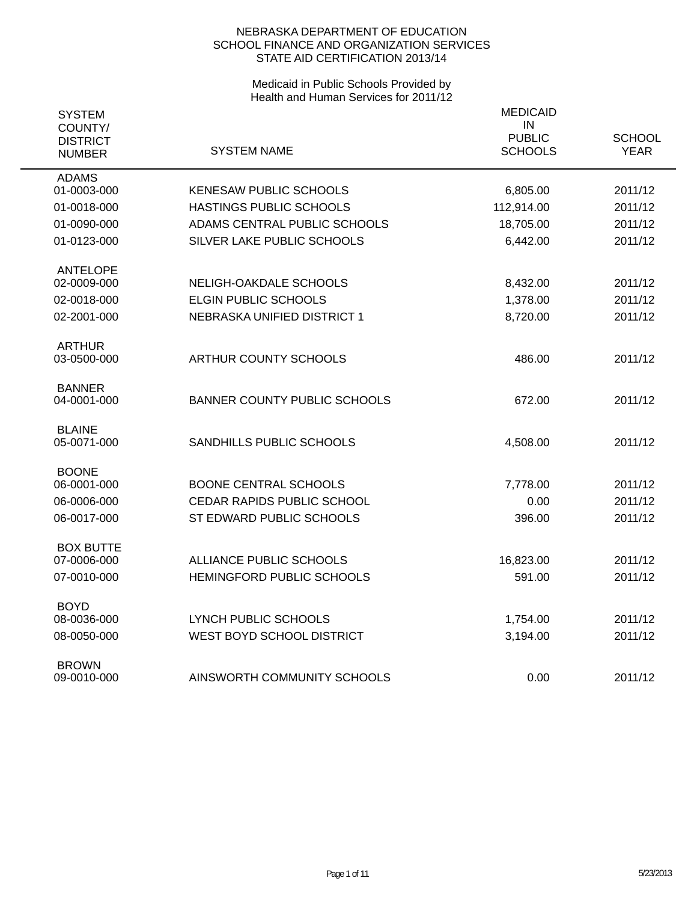| <b>SYSTEM</b><br>COUNTY/<br><b>DISTRICT</b><br><b>NUMBER</b> | <b>SYSTEM NAME</b>                  | <b>MEDICAID</b><br>IN<br><b>PUBLIC</b><br><b>SCHOOLS</b> | <b>SCHOOL</b><br><b>YEAR</b> |
|--------------------------------------------------------------|-------------------------------------|----------------------------------------------------------|------------------------------|
| <b>ADAMS</b><br>01-0003-000                                  | <b>KENESAW PUBLIC SCHOOLS</b>       | 6,805.00                                                 | 2011/12                      |
|                                                              |                                     |                                                          |                              |
| 01-0018-000                                                  | HASTINGS PUBLIC SCHOOLS             | 112,914.00                                               | 2011/12                      |
| 01-0090-000                                                  | ADAMS CENTRAL PUBLIC SCHOOLS        | 18,705.00                                                | 2011/12                      |
| 01-0123-000                                                  | SILVER LAKE PUBLIC SCHOOLS          | 6,442.00                                                 | 2011/12                      |
| <b>ANTELOPE</b>                                              |                                     |                                                          |                              |
| 02-0009-000                                                  | NELIGH-OAKDALE SCHOOLS              | 8,432.00                                                 | 2011/12                      |
| 02-0018-000                                                  | ELGIN PUBLIC SCHOOLS                | 1,378.00                                                 | 2011/12                      |
| 02-2001-000                                                  | NEBRASKA UNIFIED DISTRICT 1         | 8,720.00                                                 | 2011/12                      |
| <b>ARTHUR</b>                                                |                                     |                                                          |                              |
| 03-0500-000                                                  | ARTHUR COUNTY SCHOOLS               | 486.00                                                   | 2011/12                      |
|                                                              |                                     |                                                          |                              |
| <b>BANNER</b>                                                |                                     |                                                          |                              |
| 04-0001-000                                                  | <b>BANNER COUNTY PUBLIC SCHOOLS</b> | 672.00                                                   | 2011/12                      |
| <b>BLAINE</b>                                                |                                     |                                                          |                              |
| 05-0071-000                                                  | SANDHILLS PUBLIC SCHOOLS            | 4,508.00                                                 | 2011/12                      |
|                                                              |                                     |                                                          |                              |
| <b>BOONE</b><br>06-0001-000                                  | <b>BOONE CENTRAL SCHOOLS</b>        |                                                          | 2011/12                      |
|                                                              |                                     | 7,778.00                                                 |                              |
| 06-0006-000                                                  | CEDAR RAPIDS PUBLIC SCHOOL          | 0.00                                                     | 2011/12                      |
| 06-0017-000                                                  | ST EDWARD PUBLIC SCHOOLS            | 396.00                                                   | 2011/12                      |
| <b>BOX BUTTE</b>                                             |                                     |                                                          |                              |
| 07-0006-000                                                  | ALLIANCE PUBLIC SCHOOLS             | 16,823.00                                                | 2011/12                      |
| 07-0010-000                                                  | HEMINGFORD PUBLIC SCHOOLS           | 591.00                                                   | 2011/12                      |
|                                                              |                                     |                                                          |                              |
| <b>BOYD</b><br>08-0036-000                                   | LYNCH PUBLIC SCHOOLS                | 1,754.00                                                 | 2011/12                      |
| 08-0050-000                                                  | WEST BOYD SCHOOL DISTRICT           | 3,194.00                                                 | 2011/12                      |
|                                                              |                                     |                                                          |                              |
| <b>BROWN</b>                                                 |                                     |                                                          |                              |
| 09-0010-000                                                  | AINSWORTH COMMUNITY SCHOOLS         | 0.00                                                     | 2011/12                      |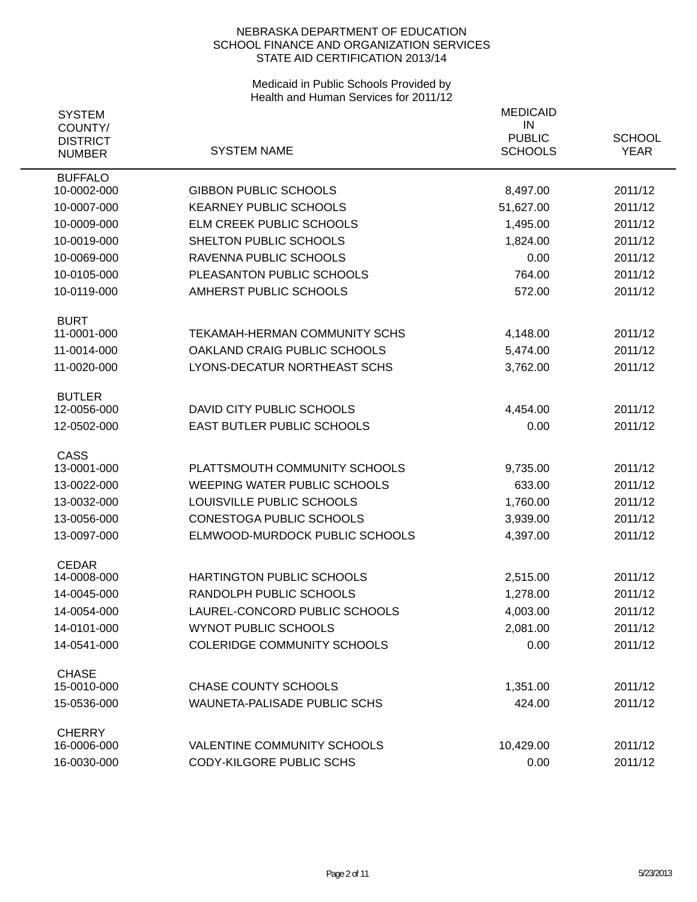| <b>SYSTEM</b>                               |                                     | <b>MEDICAID</b>                       |                              |
|---------------------------------------------|-------------------------------------|---------------------------------------|------------------------------|
| COUNTY/<br><b>DISTRICT</b><br><b>NUMBER</b> | <b>SYSTEM NAME</b>                  | IN<br><b>PUBLIC</b><br><b>SCHOOLS</b> | <b>SCHOOL</b><br><b>YEAR</b> |
| <b>BUFFALO</b>                              |                                     |                                       |                              |
| 10-0002-000                                 | <b>GIBBON PUBLIC SCHOOLS</b>        | 8,497.00                              | 2011/12                      |
| 10-0007-000                                 | <b>KEARNEY PUBLIC SCHOOLS</b>       | 51,627.00                             | 2011/12                      |
| 10-0009-000                                 | ELM CREEK PUBLIC SCHOOLS            | 1,495.00                              | 2011/12                      |
| 10-0019-000                                 | SHELTON PUBLIC SCHOOLS              | 1,824.00                              | 2011/12                      |
| 10-0069-000                                 | RAVENNA PUBLIC SCHOOLS              | 0.00                                  | 2011/12                      |
| 10-0105-000                                 | PLEASANTON PUBLIC SCHOOLS           | 764.00                                | 2011/12                      |
| 10-0119-000                                 | AMHERST PUBLIC SCHOOLS              | 572.00                                | 2011/12                      |
| <b>BURT</b>                                 |                                     |                                       |                              |
| 11-0001-000                                 | TEKAMAH-HERMAN COMMUNITY SCHS       | 4,148.00                              | 2011/12                      |
| 11-0014-000                                 | OAKLAND CRAIG PUBLIC SCHOOLS        | 5,474.00                              | 2011/12                      |
| 11-0020-000                                 | LYONS-DECATUR NORTHEAST SCHS        | 3,762.00                              | 2011/12                      |
| <b>BUTLER</b>                               |                                     |                                       |                              |
| 12-0056-000                                 | DAVID CITY PUBLIC SCHOOLS           | 4,454.00                              | 2011/12                      |
| 12-0502-000                                 | EAST BUTLER PUBLIC SCHOOLS          | 0.00                                  | 2011/12                      |
| <b>CASS</b>                                 | PLATTSMOUTH COMMUNITY SCHOOLS       |                                       |                              |
| 13-0001-000                                 |                                     | 9,735.00                              | 2011/12                      |
| 13-0022-000                                 | WEEPING WATER PUBLIC SCHOOLS        | 633.00                                | 2011/12                      |
| 13-0032-000                                 | LOUISVILLE PUBLIC SCHOOLS           | 1,760.00                              | 2011/12                      |
| 13-0056-000                                 | CONESTOGA PUBLIC SCHOOLS            | 3,939.00                              | 2011/12                      |
| 13-0097-000                                 | ELMWOOD-MURDOCK PUBLIC SCHOOLS      | 4,397.00                              | 2011/12                      |
| <b>CEDAR</b><br>14-0008-000                 | HARTINGTON PUBLIC SCHOOLS           | 2,515.00                              | 2011/12                      |
| 14-0045-000                                 | RANDOLPH PUBLIC SCHOOLS             | 1,278.00                              | 2011/12                      |
| 14-0054-000                                 | LAUREL-CONCORD PUBLIC SCHOOLS       | 4,003.00                              | 2011/12                      |
| 14-0101-000                                 | <b>WYNOT PUBLIC SCHOOLS</b>         | 2,081.00                              | 2011/12                      |
| 14-0541-000                                 | <b>COLERIDGE COMMUNITY SCHOOLS</b>  |                                       | 2011/12                      |
|                                             |                                     | 0.00                                  |                              |
| <b>CHASE</b><br>15-0010-000                 | <b>CHASE COUNTY SCHOOLS</b>         | 1,351.00                              | 2011/12                      |
| 15-0536-000                                 | <b>WAUNETA-PALISADE PUBLIC SCHS</b> | 424.00                                | 2011/12                      |
|                                             |                                     |                                       |                              |
| <b>CHERRY</b><br>16-0006-000                | <b>VALENTINE COMMUNITY SCHOOLS</b>  | 10,429.00                             | 2011/12                      |
| 16-0030-000                                 | CODY-KILGORE PUBLIC SCHS            | 0.00                                  | 2011/12                      |
|                                             |                                     |                                       |                              |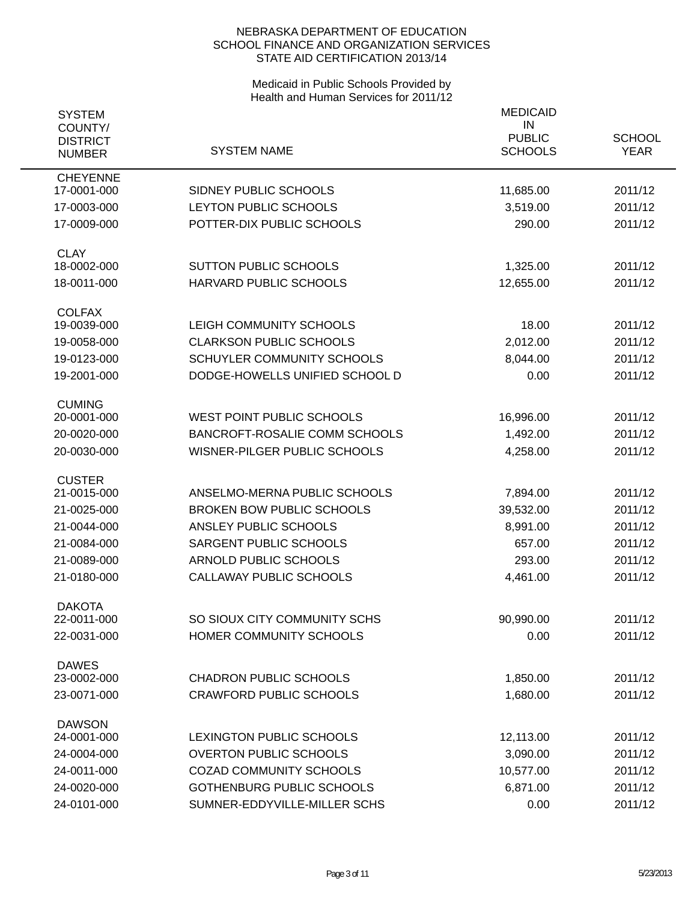| <b>SYSTEM</b><br>COUNTY/<br><b>DISTRICT</b><br><b>NUMBER</b> | <b>SYSTEM NAME</b>                   | <b>MEDICAID</b><br>IN<br><b>PUBLIC</b><br><b>SCHOOLS</b> | <b>SCHOOL</b><br><b>YEAR</b> |
|--------------------------------------------------------------|--------------------------------------|----------------------------------------------------------|------------------------------|
| <b>CHEYENNE</b><br>17-0001-000                               | SIDNEY PUBLIC SCHOOLS                | 11,685.00                                                | 2011/12                      |
| 17-0003-000                                                  | LEYTON PUBLIC SCHOOLS                | 3,519.00                                                 | 2011/12                      |
| 17-0009-000                                                  | POTTER-DIX PUBLIC SCHOOLS            | 290.00                                                   | 2011/12                      |
|                                                              |                                      |                                                          |                              |
| <b>CLAY</b>                                                  |                                      |                                                          |                              |
| 18-0002-000                                                  | <b>SUTTON PUBLIC SCHOOLS</b>         | 1,325.00                                                 | 2011/12                      |
| 18-0011-000                                                  | HARVARD PUBLIC SCHOOLS               | 12,655.00                                                | 2011/12                      |
| <b>COLFAX</b>                                                |                                      |                                                          |                              |
| 19-0039-000                                                  | LEIGH COMMUNITY SCHOOLS              | 18.00                                                    | 2011/12                      |
| 19-0058-000                                                  | <b>CLARKSON PUBLIC SCHOOLS</b>       | 2,012.00                                                 | 2011/12                      |
| 19-0123-000                                                  | <b>SCHUYLER COMMUNITY SCHOOLS</b>    | 8,044.00                                                 | 2011/12                      |
| 19-2001-000                                                  | DODGE-HOWELLS UNIFIED SCHOOL D       | 0.00                                                     | 2011/12                      |
| <b>CUMING</b>                                                |                                      |                                                          |                              |
| 20-0001-000                                                  | <b>WEST POINT PUBLIC SCHOOLS</b>     | 16,996.00                                                | 2011/12                      |
| 20-0020-000                                                  | <b>BANCROFT-ROSALIE COMM SCHOOLS</b> | 1,492.00                                                 | 2011/12                      |
| 20-0030-000                                                  | WISNER-PILGER PUBLIC SCHOOLS         | 4,258.00                                                 | 2011/12                      |
|                                                              |                                      |                                                          |                              |
| <b>CUSTER</b><br>21-0015-000                                 | ANSELMO-MERNA PUBLIC SCHOOLS         | 7,894.00                                                 | 2011/12                      |
| 21-0025-000                                                  | <b>BROKEN BOW PUBLIC SCHOOLS</b>     | 39,532.00                                                | 2011/12                      |
| 21-0044-000                                                  | ANSLEY PUBLIC SCHOOLS                | 8,991.00                                                 | 2011/12                      |
| 21-0084-000                                                  | SARGENT PUBLIC SCHOOLS               | 657.00                                                   | 2011/12                      |
| 21-0089-000                                                  | ARNOLD PUBLIC SCHOOLS                | 293.00                                                   | 2011/12                      |
| 21-0180-000                                                  | CALLAWAY PUBLIC SCHOOLS              | 4,461.00                                                 | 2011/12                      |
|                                                              |                                      |                                                          |                              |
| <b>DAKOTA</b><br>22-0011-000                                 | SO SIOUX CITY COMMUNITY SCHS         | 90,990.00                                                | 2011/12                      |
| 22-0031-000                                                  | HOMER COMMUNITY SCHOOLS              | 0.00                                                     | 2011/12                      |
|                                                              |                                      |                                                          |                              |
| <b>DAWES</b>                                                 |                                      |                                                          |                              |
| 23-0002-000                                                  | <b>CHADRON PUBLIC SCHOOLS</b>        | 1,850.00                                                 | 2011/12                      |
| 23-0071-000                                                  | <b>CRAWFORD PUBLIC SCHOOLS</b>       | 1,680.00                                                 | 2011/12                      |
| <b>DAWSON</b>                                                |                                      |                                                          |                              |
| 24-0001-000                                                  | LEXINGTON PUBLIC SCHOOLS             | 12,113.00                                                | 2011/12                      |
| 24-0004-000                                                  | <b>OVERTON PUBLIC SCHOOLS</b>        | 3,090.00                                                 | 2011/12                      |
| 24-0011-000                                                  | <b>COZAD COMMUNITY SCHOOLS</b>       | 10,577.00                                                | 2011/12                      |
| 24-0020-000                                                  | <b>GOTHENBURG PUBLIC SCHOOLS</b>     | 6,871.00                                                 | 2011/12                      |
| 24-0101-000                                                  | SUMNER-EDDYVILLE-MILLER SCHS         | 0.00                                                     | 2011/12                      |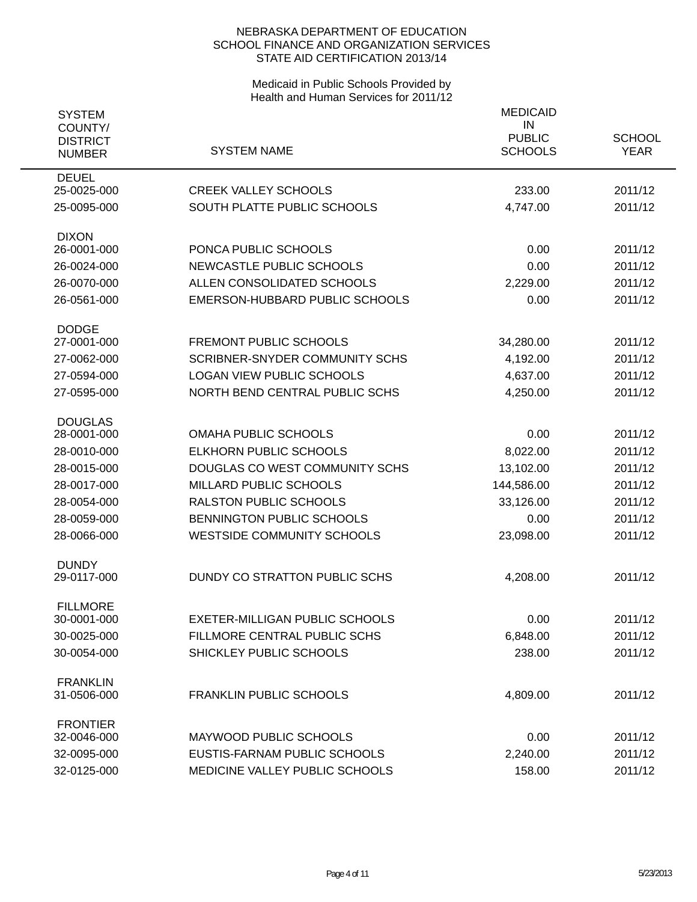| <b>SYSTEM</b><br>COUNTY/<br><b>DISTRICT</b><br><b>NUMBER</b> | <b>SYSTEM NAME</b>                    | <b>MEDICAID</b><br>IN<br><b>PUBLIC</b><br><b>SCHOOLS</b> | <b>SCHOOL</b><br><b>YEAR</b> |
|--------------------------------------------------------------|---------------------------------------|----------------------------------------------------------|------------------------------|
| <b>DEUEL</b><br>25-0025-000                                  | <b>CREEK VALLEY SCHOOLS</b>           | 233.00                                                   | 2011/12                      |
| 25-0095-000                                                  | SOUTH PLATTE PUBLIC SCHOOLS           | 4,747.00                                                 | 2011/12                      |
| <b>DIXON</b><br>26-0001-000                                  | PONCA PUBLIC SCHOOLS                  | 0.00                                                     | 2011/12                      |
| 26-0024-000                                                  | NEWCASTLE PUBLIC SCHOOLS              | 0.00                                                     | 2011/12                      |
| 26-0070-000                                                  | ALLEN CONSOLIDATED SCHOOLS            | 2,229.00                                                 | 2011/12                      |
| 26-0561-000                                                  | EMERSON-HUBBARD PUBLIC SCHOOLS        | 0.00                                                     | 2011/12                      |
| <b>DODGE</b>                                                 |                                       |                                                          |                              |
| 27-0001-000                                                  | <b>FREMONT PUBLIC SCHOOLS</b>         | 34,280.00                                                | 2011/12                      |
| 27-0062-000                                                  | <b>SCRIBNER-SNYDER COMMUNITY SCHS</b> | 4,192.00                                                 | 2011/12                      |
| 27-0594-000                                                  | <b>LOGAN VIEW PUBLIC SCHOOLS</b>      | 4,637.00                                                 | 2011/12                      |
| 27-0595-000                                                  | NORTH BEND CENTRAL PUBLIC SCHS        | 4,250.00                                                 | 2011/12                      |
| <b>DOUGLAS</b>                                               |                                       |                                                          |                              |
| 28-0001-000                                                  | <b>OMAHA PUBLIC SCHOOLS</b>           | 0.00                                                     | 2011/12                      |
| 28-0010-000                                                  | <b>ELKHORN PUBLIC SCHOOLS</b>         | 8,022.00                                                 | 2011/12                      |
| 28-0015-000                                                  | DOUGLAS CO WEST COMMUNITY SCHS        | 13,102.00                                                | 2011/12                      |
| 28-0017-000                                                  | <b>MILLARD PUBLIC SCHOOLS</b>         | 144,586.00                                               | 2011/12                      |
| 28-0054-000                                                  | <b>RALSTON PUBLIC SCHOOLS</b>         | 33,126.00                                                | 2011/12                      |
| 28-0059-000                                                  | BENNINGTON PUBLIC SCHOOLS             | 0.00                                                     | 2011/12                      |
| 28-0066-000                                                  | <b>WESTSIDE COMMUNITY SCHOOLS</b>     | 23,098.00                                                | 2011/12                      |
| <b>DUNDY</b><br>29-0117-000                                  | DUNDY CO STRATTON PUBLIC SCHS         | 4,208.00                                                 | 2011/12                      |
|                                                              |                                       |                                                          |                              |
| <b>FILLMORE</b><br>30-0001-000                               | <b>EXETER-MILLIGAN PUBLIC SCHOOLS</b> | 0.00                                                     | 2011/12                      |
| 30-0025-000                                                  | FILLMORE CENTRAL PUBLIC SCHS          | 6,848.00                                                 | 2011/12                      |
| 30-0054-000                                                  | SHICKLEY PUBLIC SCHOOLS               | 238.00                                                   | 2011/12                      |
|                                                              |                                       |                                                          |                              |
| <b>FRANKLIN</b><br>31-0506-000                               | <b>FRANKLIN PUBLIC SCHOOLS</b>        | 4,809.00                                                 | 2011/12                      |
|                                                              |                                       |                                                          |                              |
| <b>FRONTIER</b><br>32-0046-000                               | MAYWOOD PUBLIC SCHOOLS                | 0.00                                                     | 2011/12                      |
| 32-0095-000                                                  | EUSTIS-FARNAM PUBLIC SCHOOLS          | 2,240.00                                                 | 2011/12                      |
| 32-0125-000                                                  | MEDICINE VALLEY PUBLIC SCHOOLS        | 158.00                                                   | 2011/12                      |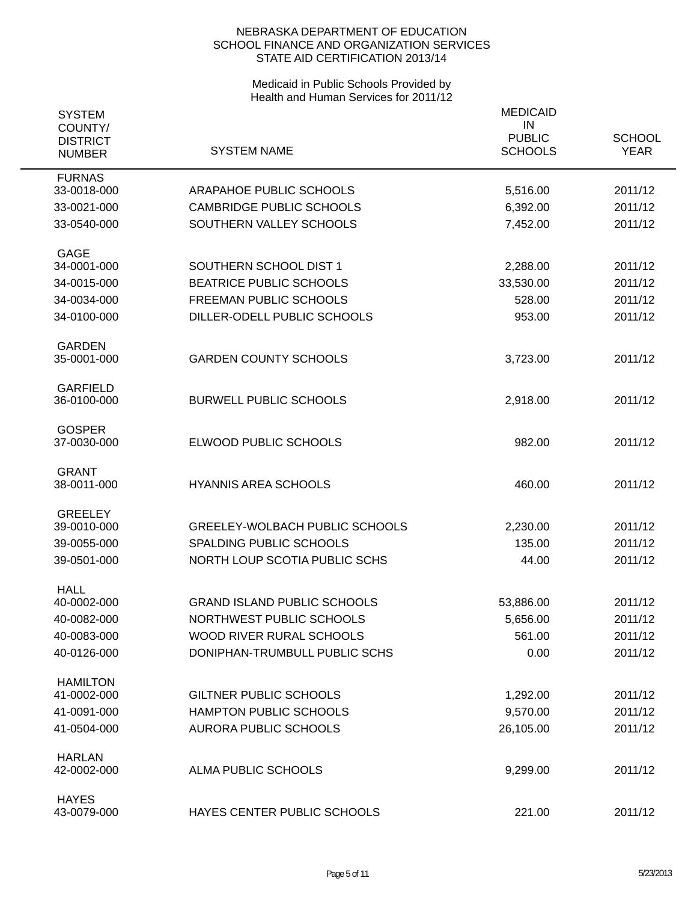| <b>SYSTEM</b><br>COUNTY/<br><b>DISTRICT</b><br><b>NUMBER</b> | <b>SYSTEM NAME</b>                    | <b>MEDICAID</b><br>IN<br><b>PUBLIC</b><br><b>SCHOOLS</b> | <b>SCHOOL</b><br><b>YEAR</b> |
|--------------------------------------------------------------|---------------------------------------|----------------------------------------------------------|------------------------------|
| <b>FURNAS</b><br>33-0018-000                                 | ARAPAHOE PUBLIC SCHOOLS               |                                                          | 2011/12                      |
|                                                              |                                       | 5,516.00                                                 |                              |
| 33-0021-000                                                  | <b>CAMBRIDGE PUBLIC SCHOOLS</b>       | 6,392.00                                                 | 2011/12                      |
| 33-0540-000                                                  | SOUTHERN VALLEY SCHOOLS               | 7,452.00                                                 | 2011/12                      |
| <b>GAGE</b>                                                  |                                       |                                                          |                              |
| 34-0001-000                                                  | SOUTHERN SCHOOL DIST 1                | 2,288.00                                                 | 2011/12                      |
| 34-0015-000                                                  | <b>BEATRICE PUBLIC SCHOOLS</b>        | 33,530.00                                                | 2011/12                      |
| 34-0034-000                                                  | FREEMAN PUBLIC SCHOOLS                | 528.00                                                   | 2011/12                      |
| 34-0100-000                                                  | DILLER-ODELL PUBLIC SCHOOLS           | 953.00                                                   | 2011/12                      |
| <b>GARDEN</b><br>35-0001-000                                 | <b>GARDEN COUNTY SCHOOLS</b>          | 3,723.00                                                 | 2011/12                      |
| <b>GARFIELD</b><br>36-0100-000                               | <b>BURWELL PUBLIC SCHOOLS</b>         | 2,918.00                                                 | 2011/12                      |
| <b>GOSPER</b><br>37-0030-000                                 | ELWOOD PUBLIC SCHOOLS                 | 982.00                                                   | 2011/12                      |
| <b>GRANT</b><br>38-0011-000                                  | <b>HYANNIS AREA SCHOOLS</b>           | 460.00                                                   | 2011/12                      |
| <b>GREELEY</b>                                               |                                       |                                                          |                              |
| 39-0010-000                                                  | <b>GREELEY-WOLBACH PUBLIC SCHOOLS</b> | 2,230.00                                                 | 2011/12                      |
| 39-0055-000                                                  | SPALDING PUBLIC SCHOOLS               | 135.00                                                   | 2011/12                      |
| 39-0501-000                                                  | NORTH LOUP SCOTIA PUBLIC SCHS         | 44.00                                                    | 2011/12                      |
| <b>HALL</b>                                                  |                                       |                                                          |                              |
| 40-0002-000                                                  | <b>GRAND ISLAND PUBLIC SCHOOLS</b>    | 53,886.00                                                | 2011/12                      |
| 40-0082-000                                                  | NORTHWEST PUBLIC SCHOOLS              | 5,656.00                                                 | 2011/12                      |
| 40-0083-000                                                  | WOOD RIVER RURAL SCHOOLS              | 561.00                                                   | 2011/12                      |
| 40-0126-000                                                  | DONIPHAN-TRUMBULL PUBLIC SCHS         | 0.00                                                     | 2011/12                      |
| <b>HAMILTON</b>                                              |                                       |                                                          |                              |
| 41-0002-000                                                  | <b>GILTNER PUBLIC SCHOOLS</b>         | 1,292.00                                                 | 2011/12                      |
| 41-0091-000                                                  | <b>HAMPTON PUBLIC SCHOOLS</b>         | 9,570.00                                                 | 2011/12                      |
| 41-0504-000                                                  | <b>AURORA PUBLIC SCHOOLS</b>          | 26,105.00                                                | 2011/12                      |
| <b>HARLAN</b><br>42-0002-000                                 | ALMA PUBLIC SCHOOLS                   | 9,299.00                                                 | 2011/12                      |
| <b>HAYES</b><br>43-0079-000                                  | HAYES CENTER PUBLIC SCHOOLS           | 221.00                                                   | 2011/12                      |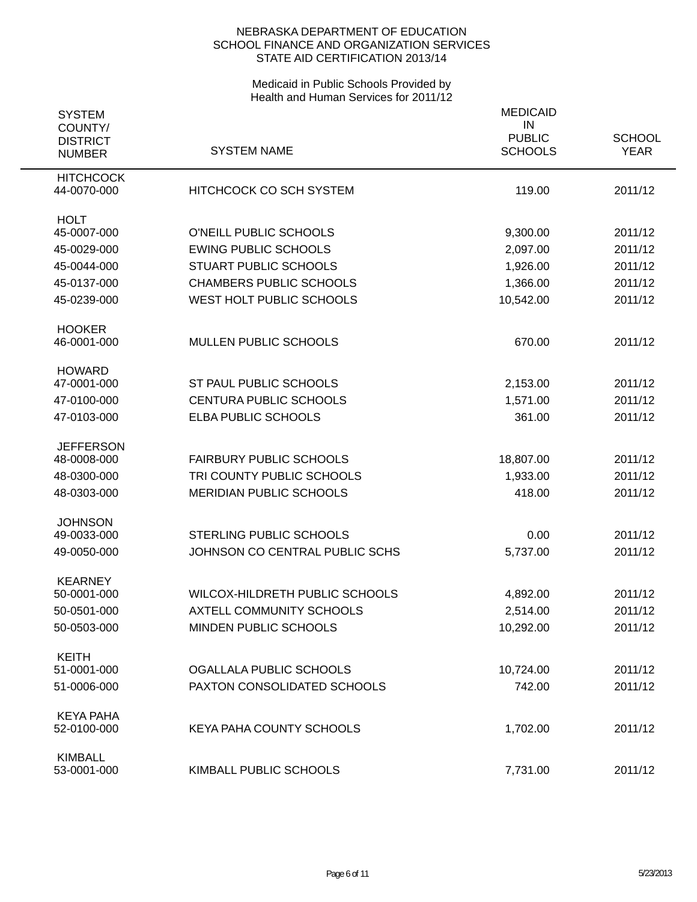| <b>SYSTEM</b>                               |                                 | <b>MEDICAID</b>                       |                              |
|---------------------------------------------|---------------------------------|---------------------------------------|------------------------------|
| COUNTY/<br><b>DISTRICT</b><br><b>NUMBER</b> | <b>SYSTEM NAME</b>              | IN<br><b>PUBLIC</b><br><b>SCHOOLS</b> | <b>SCHOOL</b><br><b>YEAR</b> |
| <b>HITCHCOCK</b><br>44-0070-000             | <b>HITCHCOCK CO SCH SYSTEM</b>  | 119.00                                | 2011/12                      |
| <b>HOLT</b><br>45-0007-000                  | O'NEILL PUBLIC SCHOOLS          | 9,300.00                              | 2011/12                      |
|                                             | <b>EWING PUBLIC SCHOOLS</b>     | 2,097.00                              |                              |
| 45-0029-000                                 | <b>STUART PUBLIC SCHOOLS</b>    |                                       | 2011/12<br>2011/12           |
| 45-0044-000                                 |                                 | 1,926.00                              |                              |
| 45-0137-000                                 | <b>CHAMBERS PUBLIC SCHOOLS</b>  | 1,366.00                              | 2011/12                      |
| 45-0239-000                                 | WEST HOLT PUBLIC SCHOOLS        | 10,542.00                             | 2011/12                      |
| <b>HOOKER</b>                               |                                 |                                       |                              |
| 46-0001-000                                 | <b>MULLEN PUBLIC SCHOOLS</b>    | 670.00                                | 2011/12                      |
| <b>HOWARD</b>                               |                                 |                                       |                              |
| 47-0001-000                                 | ST PAUL PUBLIC SCHOOLS          | 2,153.00                              | 2011/12                      |
| 47-0100-000                                 | CENTURA PUBLIC SCHOOLS          | 1,571.00                              | 2011/12                      |
| 47-0103-000                                 | ELBA PUBLIC SCHOOLS             | 361.00                                | 2011/12                      |
| <b>JEFFERSON</b>                            |                                 |                                       |                              |
| 48-0008-000                                 | <b>FAIRBURY PUBLIC SCHOOLS</b>  | 18,807.00                             | 2011/12                      |
| 48-0300-000                                 | TRI COUNTY PUBLIC SCHOOLS       | 1,933.00                              | 2011/12                      |
| 48-0303-000                                 | <b>MERIDIAN PUBLIC SCHOOLS</b>  | 418.00                                | 2011/12                      |
| <b>JOHNSON</b>                              |                                 |                                       |                              |
| 49-0033-000                                 | <b>STERLING PUBLIC SCHOOLS</b>  | 0.00                                  | 2011/12                      |
| 49-0050-000                                 | JOHNSON CO CENTRAL PUBLIC SCHS  | 5,737.00                              | 2011/12                      |
| <b>KEARNEY</b>                              |                                 |                                       |                              |
| 50-0001-000                                 | WILCOX-HILDRETH PUBLIC SCHOOLS  | 4,892.00                              | 2011/12                      |
| 50-0501-000                                 | <b>AXTELL COMMUNITY SCHOOLS</b> | 2,514.00                              | 2011/12                      |
| 50-0503-000                                 | MINDEN PUBLIC SCHOOLS           | 10,292.00                             | 2011/12                      |
| <b>KEITH</b>                                |                                 |                                       |                              |
| 51-0001-000                                 | OGALLALA PUBLIC SCHOOLS         | 10,724.00                             | 2011/12                      |
| 51-0006-000                                 | PAXTON CONSOLIDATED SCHOOLS     | 742.00                                | 2011/12                      |
| <b>KEYA PAHA</b>                            |                                 |                                       |                              |
| 52-0100-000                                 | KEYA PAHA COUNTY SCHOOLS        | 1,702.00                              | 2011/12                      |
| <b>KIMBALL</b>                              |                                 |                                       |                              |
| 53-0001-000                                 | KIMBALL PUBLIC SCHOOLS          | 7,731.00                              | 2011/12                      |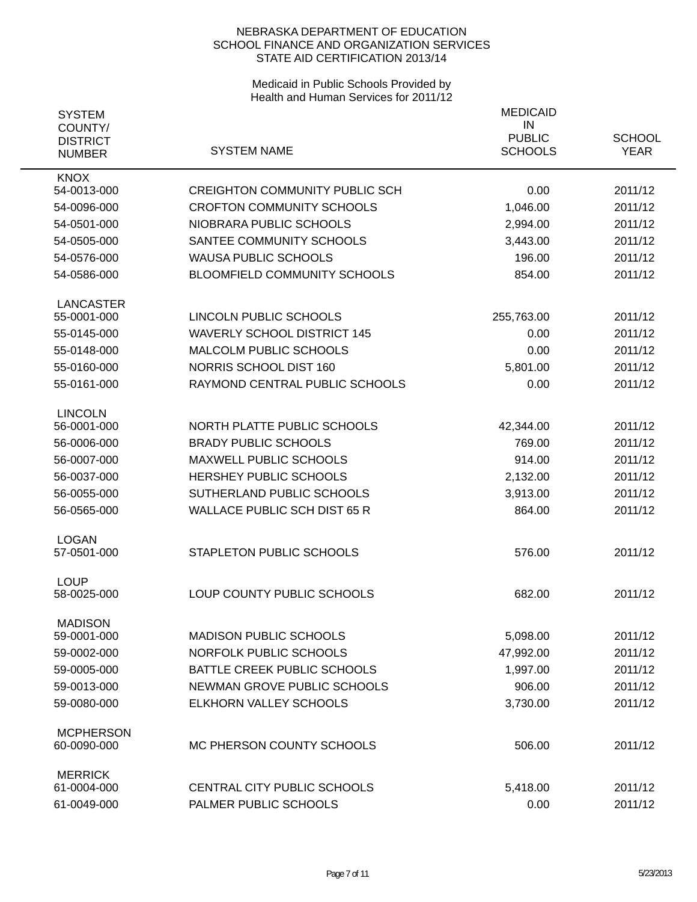| <b>SYSTEM</b>                               |                                       | <b>MEDICAID</b>                       |                              |
|---------------------------------------------|---------------------------------------|---------------------------------------|------------------------------|
| COUNTY/<br><b>DISTRICT</b><br><b>NUMBER</b> | <b>SYSTEM NAME</b>                    | IN<br><b>PUBLIC</b><br><b>SCHOOLS</b> | <b>SCHOOL</b><br><b>YEAR</b> |
| <b>KNOX</b>                                 |                                       |                                       |                              |
| 54-0013-000                                 | <b>CREIGHTON COMMUNITY PUBLIC SCH</b> | 0.00                                  | 2011/12                      |
| 54-0096-000                                 | <b>CROFTON COMMUNITY SCHOOLS</b>      | 1,046.00                              | 2011/12                      |
| 54-0501-000                                 | NIOBRARA PUBLIC SCHOOLS               | 2,994.00                              | 2011/12                      |
| 54-0505-000                                 | SANTEE COMMUNITY SCHOOLS              | 3,443.00                              | 2011/12                      |
| 54-0576-000                                 | <b>WAUSA PUBLIC SCHOOLS</b>           | 196.00                                | 2011/12                      |
| 54-0586-000                                 | <b>BLOOMFIELD COMMUNITY SCHOOLS</b>   | 854.00                                | 2011/12                      |
| <b>LANCASTER</b>                            |                                       |                                       |                              |
| 55-0001-000                                 | LINCOLN PUBLIC SCHOOLS                | 255,763.00                            | 2011/12                      |
| 55-0145-000                                 | <b>WAVERLY SCHOOL DISTRICT 145</b>    | 0.00                                  | 2011/12                      |
| 55-0148-000                                 | <b>MALCOLM PUBLIC SCHOOLS</b>         | 0.00                                  | 2011/12                      |
| 55-0160-000                                 | NORRIS SCHOOL DIST 160                | 5,801.00                              | 2011/12                      |
| 55-0161-000                                 | RAYMOND CENTRAL PUBLIC SCHOOLS        | 0.00                                  | 2011/12                      |
| <b>LINCOLN</b>                              |                                       |                                       |                              |
| 56-0001-000                                 | NORTH PLATTE PUBLIC SCHOOLS           | 42,344.00                             | 2011/12                      |
| 56-0006-000                                 | <b>BRADY PUBLIC SCHOOLS</b>           | 769.00                                | 2011/12                      |
| 56-0007-000                                 | <b>MAXWELL PUBLIC SCHOOLS</b>         | 914.00                                | 2011/12                      |
| 56-0037-000                                 | <b>HERSHEY PUBLIC SCHOOLS</b>         | 2,132.00                              | 2011/12                      |
| 56-0055-000                                 | SUTHERLAND PUBLIC SCHOOLS             | 3,913.00                              | 2011/12                      |
| 56-0565-000                                 | <b>WALLACE PUBLIC SCH DIST 65 R</b>   | 864.00                                | 2011/12                      |
| <b>LOGAN</b>                                |                                       |                                       |                              |
| 57-0501-000                                 | <b>STAPLETON PUBLIC SCHOOLS</b>       | 576.00                                | 2011/12                      |
| <b>LOUP</b><br>58-0025-000                  | LOUP COUNTY PUBLIC SCHOOLS            | 682.00                                | 2011/12                      |
| <b>MADISON</b>                              |                                       |                                       |                              |
| 59-0001-000                                 | <b>MADISON PUBLIC SCHOOLS</b>         | 5,098.00                              | 2011/12                      |
| 59-0002-000                                 | NORFOLK PUBLIC SCHOOLS                | 47,992.00                             | 2011/12                      |
| 59-0005-000                                 | BATTLE CREEK PUBLIC SCHOOLS           | 1,997.00                              | 2011/12                      |
| 59-0013-000                                 | NEWMAN GROVE PUBLIC SCHOOLS           | 906.00                                | 2011/12                      |
| 59-0080-000                                 | ELKHORN VALLEY SCHOOLS                | 3,730.00                              | 2011/12                      |
| <b>MCPHERSON</b>                            |                                       |                                       |                              |
| 60-0090-000                                 | MC PHERSON COUNTY SCHOOLS             | 506.00                                | 2011/12                      |
| <b>MERRICK</b>                              |                                       |                                       |                              |
| 61-0004-000                                 | CENTRAL CITY PUBLIC SCHOOLS           | 5,418.00                              | 2011/12                      |
| 61-0049-000                                 | PALMER PUBLIC SCHOOLS                 | 0.00                                  | 2011/12                      |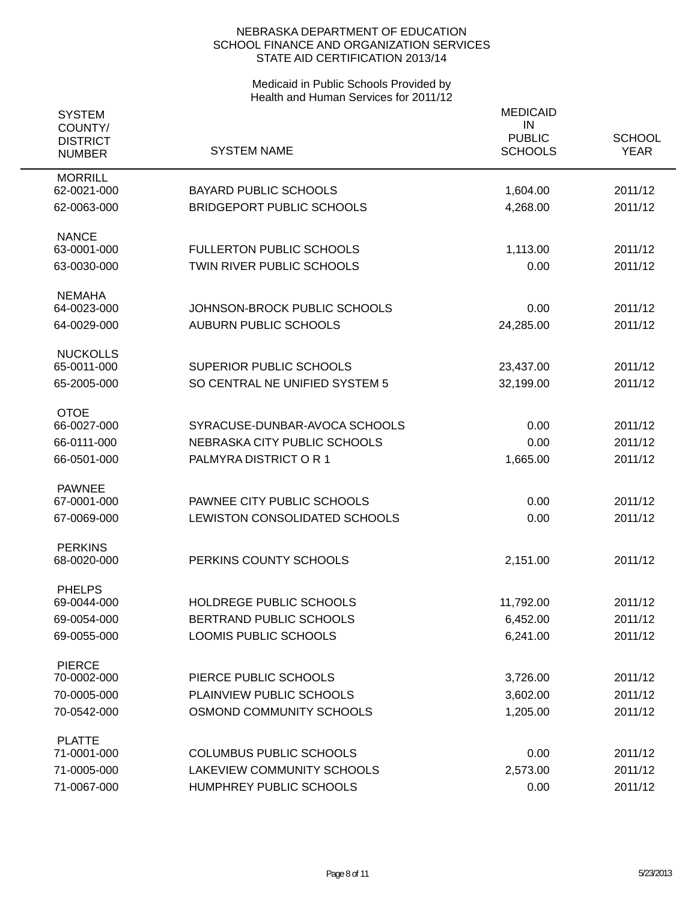| <b>SYSTEM</b><br>COUNTY/<br><b>DISTRICT</b><br><b>NUMBER</b> | <b>SYSTEM NAME</b>                                           | <b>MEDICAID</b><br>IN<br><b>PUBLIC</b><br><b>SCHOOLS</b> | <b>SCHOOL</b><br><b>YEAR</b> |
|--------------------------------------------------------------|--------------------------------------------------------------|----------------------------------------------------------|------------------------------|
| <b>MORRILL</b><br>62-0021-000                                | <b>BAYARD PUBLIC SCHOOLS</b>                                 | 1,604.00                                                 | 2011/12                      |
| 62-0063-000                                                  | <b>BRIDGEPORT PUBLIC SCHOOLS</b>                             | 4,268.00                                                 | 2011/12                      |
| <b>NANCE</b>                                                 |                                                              |                                                          |                              |
| 63-0001-000<br>63-0030-000                                   | <b>FULLERTON PUBLIC SCHOOLS</b><br>TWIN RIVER PUBLIC SCHOOLS | 1,113.00<br>0.00                                         | 2011/12<br>2011/12           |
| <b>NEMAHA</b>                                                |                                                              |                                                          |                              |
| 64-0023-000                                                  | JOHNSON-BROCK PUBLIC SCHOOLS                                 | 0.00                                                     | 2011/12                      |
| 64-0029-000                                                  | <b>AUBURN PUBLIC SCHOOLS</b>                                 | 24,285.00                                                | 2011/12                      |
| <b>NUCKOLLS</b><br>65-0011-000                               | SUPERIOR PUBLIC SCHOOLS                                      | 23,437.00                                                | 2011/12                      |
| 65-2005-000                                                  | SO CENTRAL NE UNIFIED SYSTEM 5                               | 32,199.00                                                | 2011/12                      |
|                                                              |                                                              |                                                          |                              |
| <b>OTOE</b><br>66-0027-000                                   | SYRACUSE-DUNBAR-AVOCA SCHOOLS                                | 0.00                                                     | 2011/12                      |
| 66-0111-000                                                  | NEBRASKA CITY PUBLIC SCHOOLS                                 | 0.00                                                     | 2011/12                      |
| 66-0501-000                                                  | PALMYRA DISTRICT OR 1                                        | 1,665.00                                                 | 2011/12                      |
| <b>PAWNEE</b>                                                |                                                              |                                                          |                              |
| 67-0001-000                                                  | PAWNEE CITY PUBLIC SCHOOLS                                   | 0.00                                                     | 2011/12                      |
| 67-0069-000                                                  | LEWISTON CONSOLIDATED SCHOOLS                                | 0.00                                                     | 2011/12                      |
| <b>PERKINS</b>                                               |                                                              |                                                          |                              |
| 68-0020-000                                                  | PERKINS COUNTY SCHOOLS                                       | 2,151.00                                                 | 2011/12                      |
| <b>PHELPS</b><br>69-0044-000                                 | HOLDREGE PUBLIC SCHOOLS                                      | 11,792.00                                                | 2011/12                      |
| 69-0054-000                                                  | BERTRAND PUBLIC SCHOOLS                                      | 6,452.00                                                 | 2011/12                      |
| 69-0055-000                                                  | LOOMIS PUBLIC SCHOOLS                                        | 6,241.00                                                 | 2011/12                      |
|                                                              |                                                              |                                                          |                              |
| <b>PIERCE</b>                                                |                                                              |                                                          |                              |
| 70-0002-000                                                  | PIERCE PUBLIC SCHOOLS                                        | 3,726.00                                                 | 2011/12                      |
| 70-0005-000                                                  | PLAINVIEW PUBLIC SCHOOLS                                     | 3,602.00                                                 | 2011/12                      |
| 70-0542-000                                                  | OSMOND COMMUNITY SCHOOLS                                     | 1,205.00                                                 | 2011/12                      |
| <b>PLATTE</b><br>71-0001-000                                 | <b>COLUMBUS PUBLIC SCHOOLS</b>                               | 0.00                                                     | 2011/12                      |
| 71-0005-000                                                  | LAKEVIEW COMMUNITY SCHOOLS                                   | 2,573.00                                                 | 2011/12                      |
| 71-0067-000                                                  | HUMPHREY PUBLIC SCHOOLS                                      | 0.00                                                     | 2011/12                      |
|                                                              |                                                              |                                                          |                              |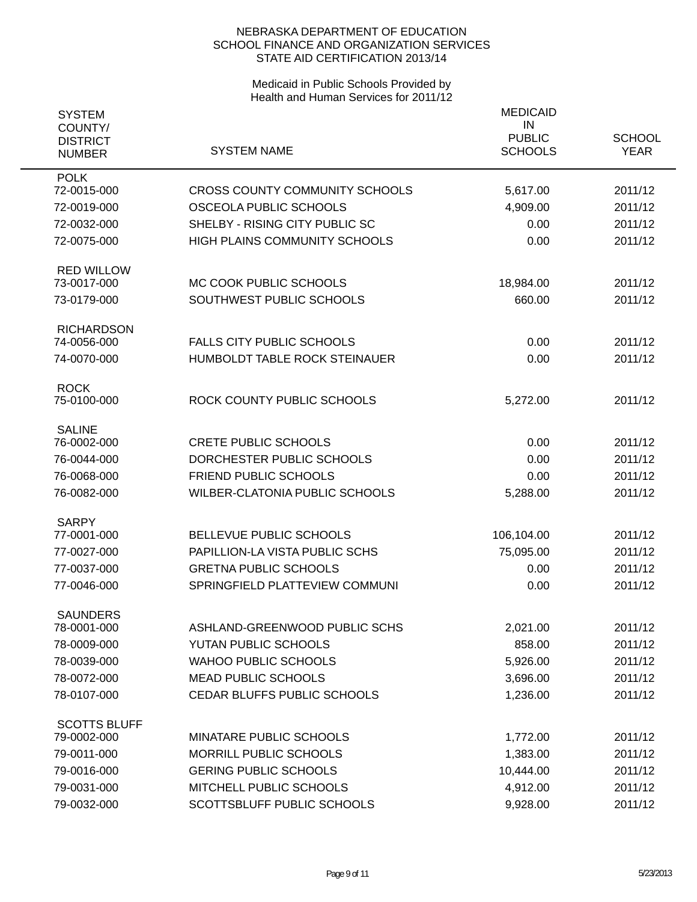| <b>SYSTEM</b><br>COUNTY/<br><b>DISTRICT</b><br><b>NUMBER</b> | <b>SYSTEM NAME</b>                                       | <b>MEDICAID</b><br>IN<br><b>PUBLIC</b><br><b>SCHOOLS</b> | <b>SCHOOL</b><br><b>YEAR</b> |
|--------------------------------------------------------------|----------------------------------------------------------|----------------------------------------------------------|------------------------------|
| <b>POLK</b><br>72-0015-000                                   | <b>CROSS COUNTY COMMUNITY SCHOOLS</b>                    | 5,617.00                                                 | 2011/12                      |
| 72-0019-000                                                  | OSCEOLA PUBLIC SCHOOLS                                   | 4,909.00                                                 | 2011/12                      |
| 72-0032-000                                                  | SHELBY - RISING CITY PUBLIC SC                           | 0.00                                                     | 2011/12                      |
| 72-0075-000                                                  | <b>HIGH PLAINS COMMUNITY SCHOOLS</b>                     | 0.00                                                     | 2011/12                      |
| <b>RED WILLOW</b><br>73-0017-000                             | MC COOK PUBLIC SCHOOLS                                   | 18,984.00                                                | 2011/12                      |
| 73-0179-000                                                  | SOUTHWEST PUBLIC SCHOOLS                                 | 660.00                                                   | 2011/12                      |
| <b>RICHARDSON</b><br>74-0056-000                             | <b>FALLS CITY PUBLIC SCHOOLS</b>                         | 0.00                                                     | 2011/12                      |
| 74-0070-000                                                  | HUMBOLDT TABLE ROCK STEINAUER                            | 0.00                                                     | 2011/12                      |
| <b>ROCK</b><br>75-0100-000                                   | ROCK COUNTY PUBLIC SCHOOLS                               | 5,272.00                                                 | 2011/12                      |
| <b>SALINE</b>                                                |                                                          |                                                          |                              |
| 76-0002-000                                                  | <b>CRETE PUBLIC SCHOOLS</b><br>DORCHESTER PUBLIC SCHOOLS | 0.00<br>0.00                                             | 2011/12<br>2011/12           |
| 76-0044-000<br>76-0068-000                                   | <b>FRIEND PUBLIC SCHOOLS</b>                             | 0.00                                                     | 2011/12                      |
| 76-0082-000                                                  | <b>WILBER-CLATONIA PUBLIC SCHOOLS</b>                    | 5,288.00                                                 | 2011/12                      |
|                                                              |                                                          |                                                          |                              |
| <b>SARPY</b>                                                 |                                                          |                                                          |                              |
| 77-0001-000                                                  | BELLEVUE PUBLIC SCHOOLS                                  | 106,104.00                                               | 2011/12                      |
| 77-0027-000                                                  | PAPILLION-LA VISTA PUBLIC SCHS                           | 75,095.00                                                | 2011/12                      |
| 77-0037-000                                                  | <b>GRETNA PUBLIC SCHOOLS</b>                             | 0.00                                                     | 2011/12                      |
| 77-0046-000                                                  | SPRINGFIELD PLATTEVIEW COMMUNI                           | 0.00                                                     | 2011/12                      |
| <b>SAUNDERS</b><br>78-0001-000                               | ASHLAND-GREENWOOD PUBLIC SCHS                            | 2,021.00                                                 | 2011/12                      |
| 78-0009-000                                                  | YUTAN PUBLIC SCHOOLS                                     | 858.00                                                   | 2011/12                      |
| 78-0039-000                                                  | <b>WAHOO PUBLIC SCHOOLS</b>                              | 5,926.00                                                 | 2011/12                      |
| 78-0072-000                                                  | <b>MEAD PUBLIC SCHOOLS</b>                               | 3,696.00                                                 | 2011/12                      |
| 78-0107-000                                                  | CEDAR BLUFFS PUBLIC SCHOOLS                              | 1,236.00                                                 | 2011/12                      |
|                                                              |                                                          |                                                          |                              |
| <b>SCOTTS BLUFF</b><br>79-0002-000                           | MINATARE PUBLIC SCHOOLS                                  | 1,772.00                                                 | 2011/12                      |
| 79-0011-000                                                  | <b>MORRILL PUBLIC SCHOOLS</b>                            | 1,383.00                                                 | 2011/12                      |
| 79-0016-000                                                  | <b>GERING PUBLIC SCHOOLS</b>                             | 10,444.00                                                | 2011/12                      |
| 79-0031-000                                                  | MITCHELL PUBLIC SCHOOLS                                  | 4,912.00                                                 | 2011/12                      |
| 79-0032-000                                                  | SCOTTSBLUFF PUBLIC SCHOOLS                               | 9,928.00                                                 | 2011/12                      |
|                                                              |                                                          |                                                          |                              |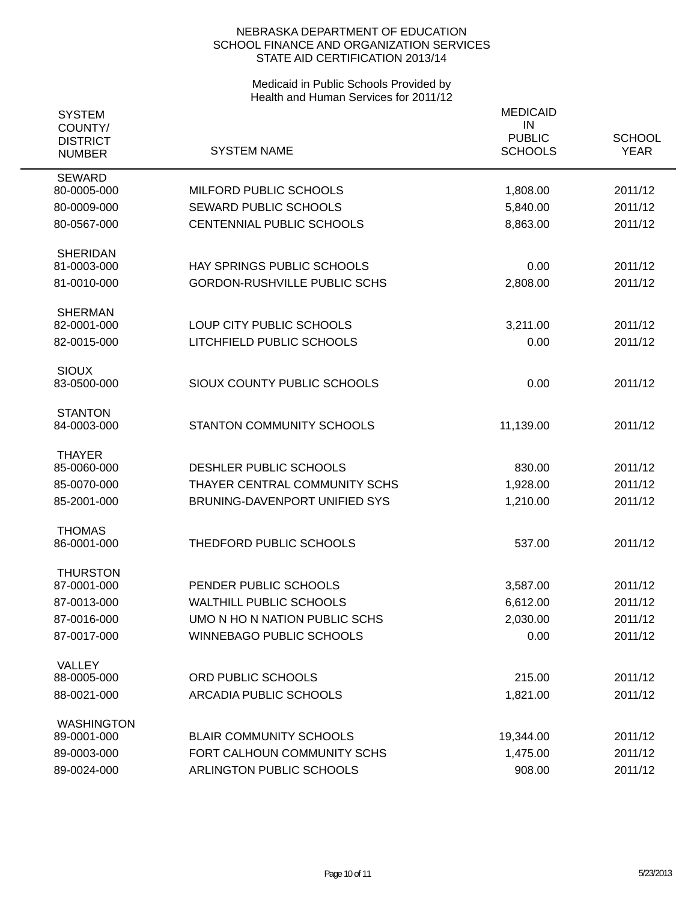| <b>SYSTEM</b><br>COUNTY/<br><b>DISTRICT</b><br><b>NUMBER</b> | <b>SYSTEM NAME</b>                  | <b>MEDICAID</b><br>IN<br><b>PUBLIC</b><br><b>SCHOOLS</b> | <b>SCHOOL</b><br><b>YEAR</b> |
|--------------------------------------------------------------|-------------------------------------|----------------------------------------------------------|------------------------------|
| <b>SEWARD</b><br>80-0005-000                                 | MILFORD PUBLIC SCHOOLS              | 1,808.00                                                 | 2011/12                      |
| 80-0009-000                                                  | <b>SEWARD PUBLIC SCHOOLS</b>        | 5,840.00                                                 | 2011/12                      |
| 80-0567-000                                                  | CENTENNIAL PUBLIC SCHOOLS           | 8,863.00                                                 | 2011/12                      |
| <b>SHERIDAN</b><br>81-0003-000                               | HAY SPRINGS PUBLIC SCHOOLS          | 0.00                                                     | 2011/12                      |
| 81-0010-000                                                  | <b>GORDON-RUSHVILLE PUBLIC SCHS</b> | 2,808.00                                                 | 2011/12                      |
| <b>SHERMAN</b>                                               |                                     |                                                          |                              |
| 82-0001-000                                                  | LOUP CITY PUBLIC SCHOOLS            | 3,211.00                                                 | 2011/12                      |
| 82-0015-000                                                  | LITCHFIELD PUBLIC SCHOOLS           | 0.00                                                     | 2011/12                      |
| <b>SIOUX</b><br>83-0500-000                                  | SIOUX COUNTY PUBLIC SCHOOLS         | 0.00                                                     | 2011/12                      |
| <b>STANTON</b><br>84-0003-000                                | <b>STANTON COMMUNITY SCHOOLS</b>    | 11,139.00                                                | 2011/12                      |
| <b>THAYER</b><br>85-0060-000                                 | DESHLER PUBLIC SCHOOLS              | 830.00                                                   | 2011/12                      |
| 85-0070-000                                                  | THAYER CENTRAL COMMUNITY SCHS       | 1,928.00                                                 | 2011/12                      |
| 85-2001-000                                                  | BRUNING-DAVENPORT UNIFIED SYS       | 1,210.00                                                 | 2011/12                      |
| <b>THOMAS</b><br>86-0001-000                                 | THEDFORD PUBLIC SCHOOLS             | 537.00                                                   | 2011/12                      |
| <b>THURSTON</b><br>87-0001-000                               | PENDER PUBLIC SCHOOLS               | 3,587.00                                                 | 2011/12                      |
| 87-0013-000                                                  | <b>WALTHILL PUBLIC SCHOOLS</b>      | 6,612.00                                                 | 2011/12                      |
| 87-0016-000                                                  | UMO N HO N NATION PUBLIC SCHS       | 2,030.00                                                 | 2011/12                      |
| 87-0017-000                                                  | <b>WINNEBAGO PUBLIC SCHOOLS</b>     | 0.00                                                     | 2011/12                      |
| VALLEY                                                       |                                     |                                                          |                              |
| 88-0005-000                                                  | ORD PUBLIC SCHOOLS                  | 215.00                                                   | 2011/12                      |
| 88-0021-000                                                  | <b>ARCADIA PUBLIC SCHOOLS</b>       | 1,821.00                                                 | 2011/12                      |
| <b>WASHINGTON</b><br>89-0001-000                             | <b>BLAIR COMMUNITY SCHOOLS</b>      | 19,344.00                                                | 2011/12                      |
| 89-0003-000                                                  | FORT CALHOUN COMMUNITY SCHS         | 1,475.00                                                 | 2011/12                      |
| 89-0024-000                                                  | ARLINGTON PUBLIC SCHOOLS            | 908.00                                                   | 2011/12                      |